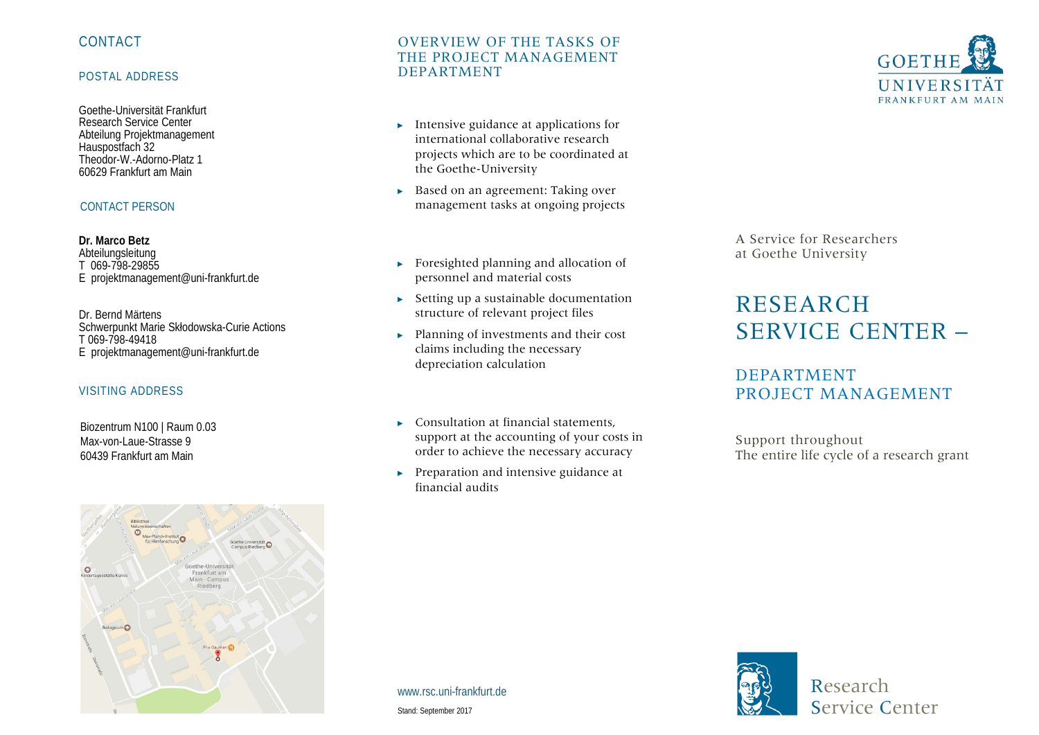### CONTACT

#### POSTAL ADDRESS

Goethe-Universität Frankfurt Research Service Center Abteilung Projektmanagement Hauspostfach 32 Theodor-W.-Adorno-Platz 1 60629 Frankfurt am Main

#### CONTACT PERSON

**Dr. Marco Betz** Abteilungsleitung T 069-798-29855 E projektmanagement@uni-frankfurt.de

Dr. Bernd Märtens Schwerpunkt Marie Skłodowska-Curie Actions T 069-798-49418 E projektmanagement@uni-frankfurt.de

#### VISITING ADDRESS

 Biozentrum N100 | Raum 0.03 Max-von-Laue-Strasse 9 60439 Frankfurt am Main



#### OVERVIEW OF THE TASKS OF THE PROJECT MANAGEMENT DEPARTMENT

- ► Intensive guidance at applications for international collaborative research projects which are to be coordinated at the Goethe-University
- ► Based on an agreement: Taking over management tasks at ongoing projects
- ► Foresighted planning and allocation of personnel and material costs
- ► Setting up a sustainable documentation structure of relevant project files
- ► Planning of investments and their cost claims including the necessary depreciation calculation
- ► Consultation at financial statements, support at the accounting of your costs in order to achieve the necessary accuracy
- ► Preparation and intensive guidance at financial audits

A Service for Researchers at Goethe University

# RESEARCH SERVICE CENTER –

## DEPARTMENT PROJECT MANAGEMENT

Support throughout The entire life cycle of a research grant

#### www.rsc.uni-frankfurt.de

Stand: September 2017